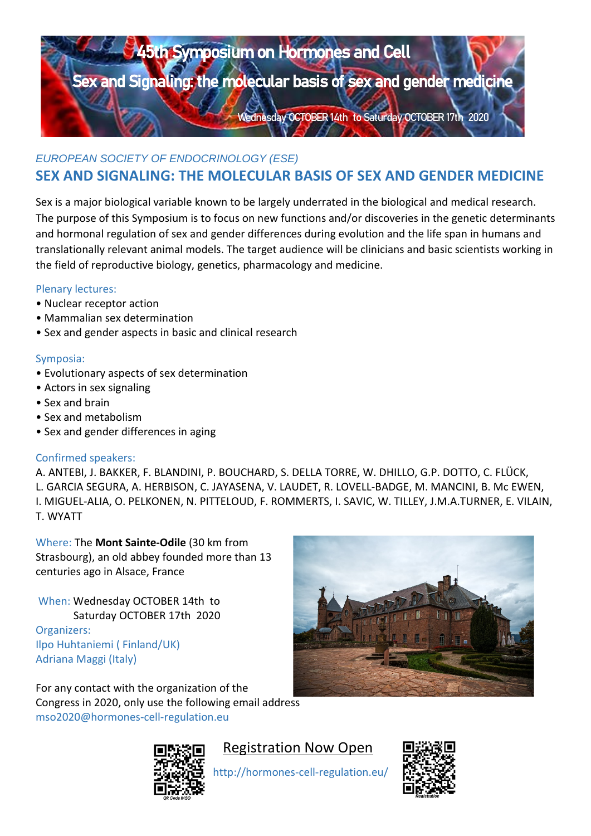

## **SEX AND SIGNALING: THE MOLECULAR BASIS OF SEX AND GENDER MEDICINE**

Sex is a major biological variable known to be largely underrated in the biological and medical research. The purpose of this Symposium is to focus on new functions and/or discoveries in the genetic determinants and hormonal regulation of sex and gender differences during evolution and the life span in humans and translationally relevant animal models. The target audience will be clinicians and basic scientists working in the field of reproductive biology, genetics, pharmacology and medicine.

## Plenary lectures:

- Nuclear receptor action
- Mammalian sex determination
- Sex and gender aspects in basic and clinical research

## Symposia:

- Evolutionary aspects of sex determination
- Actors in sex signaling
- Sex and brain
- Sex and metabolism
- Sex and gender differences in aging

## Confirmed speakers:

Ali Abbara, Julie Bakker, Andrzej Bartke, Fabio Blandini, Gian Paolo Dotto, Colin Duncan,Christa Flück, Alan Herbison, Vincent Laudet, Michael Mancini, Jordan Marrocco, Olavi Pelkonen, Focko Rommerts, Ivanca Savic, Anne Simone-Parent, Wayne Tilley, James M.A Turner, Eric Vilain, Jenny Visser, Tristram Wyatt

Where: The **Mont Sainte-Odile** (30 km from Strasbourg), an old abbey founded more than 13 centuries ago in Alsace, France

When: Wednesday OCTOBER 12th to Saturday OCTOBER 15th 2022 Organizers: Ilpo Huhtaniemi ( Finland/UK) Adriana Maggi (Italy)

For any contact with the organization of the Congress in 2020, only use the following email address mso2020@hormones-cell-regulation.eu





# **Re[gistration Now](https://www5.shocklogic.com/scripts/jmevent/Registration.asp?Client_Id=%27SFE%27&Project_Id=%27STOD21%27&System_Id=2) Open**

http://hormones-cell-regulation.eu/





Registration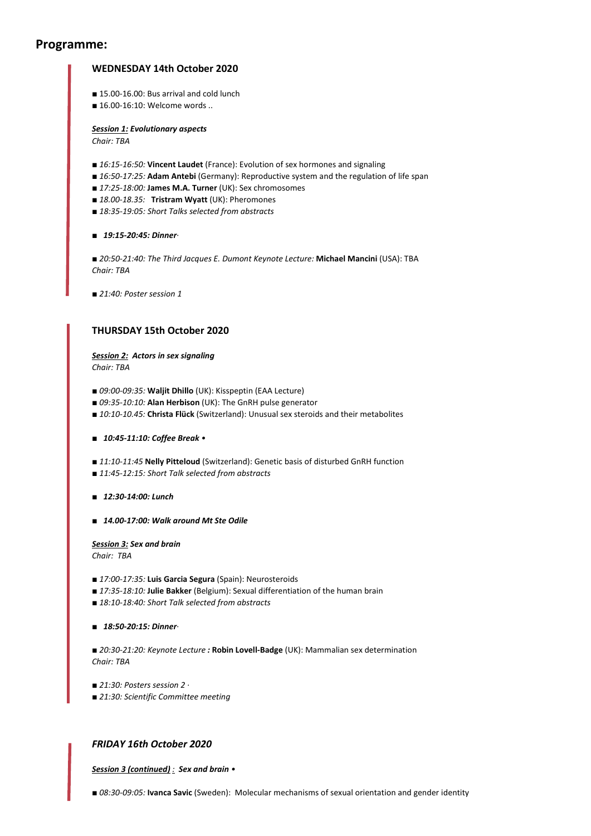### **Programme:**

### **WEDNESDAY 14th October 2020**

- 15.00-16.00: Bus arrival and cold lunch
- 16.00-16:10: Welcome words ..

*Session 1: Evolutionary aspects Chair: TBA* 

- 16:15-16:50: **Vincent Laudet** (France): Evolution of sex hormones and signaling
- 16:50-17:25: Adam Antebi (Germany): Reproductive system and the regulation of life span
- *■ 17:25-18:00:* **James M.A. Turner** (UK): Sex chromosomes
- *■ 18.00-18.35:* **Tristram Wyatt** (UK): Pheromones
- *■ 18:35-19:05: Short Talks selected from abstracts*

*■ 19:15-20:45: Dinner·*

*■ 20:50-21:40: The Third Jacques E. Dumont Keynote Lecture:* **Michael Mancini** (USA): TBA *Chair: TBA* 

■ 21:40: Poster session 1

#### **THURSDAY 15th October 2020**

*Session 2: Actors in sex signaling Chair: TBA* 

- *■ 09:00-09:35:* **Waljit Dhillo** (UK): Kisspeptin (EAA Lecture)
- *■ 09:35-10:10:* **Alan Herbison** (UK): The GnRH pulse generator
- *■ 10:10-10.45:* **Christa Flück** (Switzerland): Unusual sex steroids and their metabolites
- *■ 10:45-11:10: Coffee Break •*
- *■ 11:10-11:45* **Nelly Pitteloud** (Switzerland): Genetic basis of disturbed GnRH function
- *■ 11:45-12:15: Short Talk selected from abstracts*
- *■ 12:30-14:00: Lunch*
- *■ 14.00-17:00: Walk around Mt Ste Odile*

*Session 3: Sex and brain Chair: TBA* 

- *■ 17:00-17:35:* **Luis Garcia Segura** (Spain): Neurosteroids
- 17:35-18:10: **Julie Bakker** (Belgium): Sexual differentiation of the human brain
- *■ 18:10-18:40: Short Talk selected from abstracts*

*■ 18:50-20:15: Dinner·*

*■ 20:30-21:20: Keynote Lecture :* **Robin Lovell-Badge** (UK): Mammalian sex determination *Chair: TBA* 

■ *21:30: Posters session 2* ·

*■ 21:30: Scientific Committee meeting*

#### *FRIDAY 16th October 2020*

*Session 3 (continued) : Sex and brain •* 

■ 08:30-09:05: **Ivanca Savic** (Sweden): Molecular mechanisms of sexual orientation and gender identity